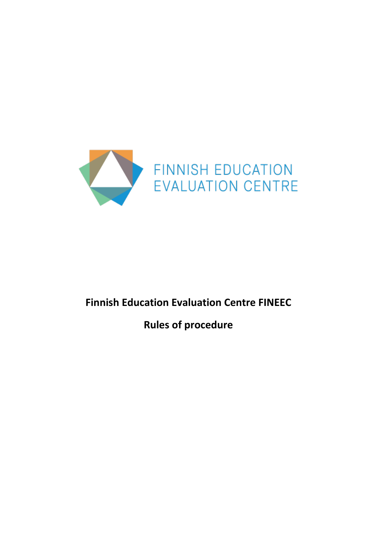

# **Finnish Education Evaluation Centre FINEEC**

**Rules of procedure**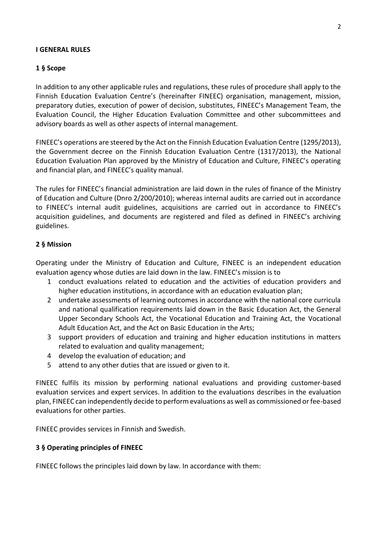#### **I GENERAL RULES**

### **1 § Scope**

In addition to any other applicable rules and regulations, these rules of procedure shall apply to the Finnish Education Evaluation Centre's (hereinafter FINEEC) organisation, management, mission, preparatory duties, execution of power of decision, substitutes, FINEEC's Management Team, the Evaluation Council, the Higher Education Evaluation Committee and other subcommittees and advisory boards as well as other aspects of internal management.

FINEEC's operations are steered by the Act on the Finnish Education Evaluation Centre (1295/2013), the Government decree on the Finnish Education Evaluation Centre (1317/2013), the National Education Evaluation Plan approved by the Ministry of Education and Culture, FINEEC's operating and financial plan, and FINEEC's quality manual.

The rules for FINEEC's financial administration are laid down in the rules of finance of the Ministry of Education and Culture (Dnro 2/200/2010); whereas internal audits are carried out in accordance to FINEEC's internal audit guidelines, acquisitions are carried out in accordance to FINEEC's acquisition guidelines, and documents are registered and filed as defined in FINEEC's archiving guidelines.

### **2 § Mission**

Operating under the Ministry of Education and Culture, FINEEC is an independent education evaluation agency whose duties are laid down in the law. FINEEC's mission is to

- 1 conduct evaluations related to education and the activities of education providers and higher education institutions, in accordance with an education evaluation plan;
- 2 undertake assessments of learning outcomes in accordance with the national core curricula and national qualification requirements laid down in the Basic Education Act, the General Upper Secondary Schools Act, the Vocational Education and Training Act, the Vocational Adult Education Act, and the Act on Basic Education in the Arts;
- 3 support providers of education and training and higher education institutions in matters related to evaluation and quality management;
- 4 develop the evaluation of education; and
- 5 attend to any other duties that are issued or given to it.

FINEEC fulfils its mission by performing national evaluations and providing customer-based evaluation services and expert services. In addition to the evaluations describes in the evaluation plan, FINEEC can independently decide to perform evaluations as well as commissioned or fee-based evaluations for other parties.

FINEEC provides services in Finnish and Swedish.

### **3 § Operating principles of FINEEC**

FINEEC follows the principles laid down by law. In accordance with them: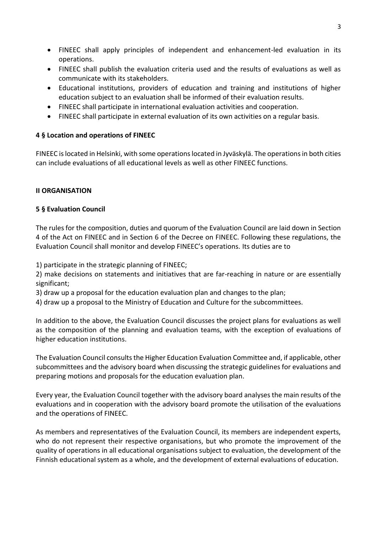- FINEEC shall apply principles of independent and enhancement-led evaluation in its operations.
- FINEEC shall publish the evaluation criteria used and the results of evaluations as well as communicate with its stakeholders.
- Educational institutions, providers of education and training and institutions of higher education subject to an evaluation shall be informed of their evaluation results.
- FINEEC shall participate in international evaluation activities and cooperation.
- FINEEC shall participate in external evaluation of its own activities on a regular basis.

# **4 § Location and operations of FINEEC**

FINEEC is located in Helsinki, with some operations located in Jyväskylä. The operations in both cities can include evaluations of all educational levels as well as other FINEEC functions.

# **II ORGANISATION**

# **5 § Evaluation Council**

The rules for the composition, duties and quorum of the Evaluation Council are laid down in Section 4 of the Act on FINEEC and in Section 6 of the Decree on FINEEC. Following these regulations, the Evaluation Council shall monitor and develop FINEEC's operations. Its duties are to

1) participate in the strategic planning of FINEEC;

2) make decisions on statements and initiatives that are far-reaching in nature or are essentially significant;

3) draw up a proposal for the education evaluation plan and changes to the plan;

4) draw up a proposal to the Ministry of Education and Culture for the subcommittees.

In addition to the above, the Evaluation Council discusses the project plans for evaluations as well as the composition of the planning and evaluation teams, with the exception of evaluations of higher education institutions.

The Evaluation Council consults the Higher Education Evaluation Committee and, if applicable, other subcommittees and the advisory board when discussing the strategic guidelines for evaluations and preparing motions and proposals for the education evaluation plan.

Every year, the Evaluation Council together with the advisory board analyses the main results of the evaluations and in cooperation with the advisory board promote the utilisation of the evaluations and the operations of FINEEC.

As members and representatives of the Evaluation Council, its members are independent experts, who do not represent their respective organisations, but who promote the improvement of the quality of operations in all educational organisations subject to evaluation, the development of the Finnish educational system as a whole, and the development of external evaluations of education.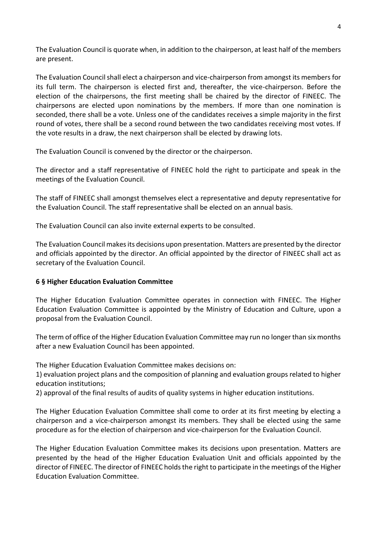The Evaluation Council is quorate when, in addition to the chairperson, at least half of the members are present.

The Evaluation Council shall elect a chairperson and vice-chairperson from amongst its members for its full term. The chairperson is elected first and, thereafter, the vice-chairperson. Before the election of the chairpersons, the first meeting shall be chaired by the director of FINEEC. The chairpersons are elected upon nominations by the members. If more than one nomination is seconded, there shall be a vote. Unless one of the candidates receives a simple majority in the first round of votes, there shall be a second round between the two candidates receiving most votes. If the vote results in a draw, the next chairperson shall be elected by drawing lots.

The Evaluation Council is convened by the director or the chairperson.

The director and a staff representative of FINEEC hold the right to participate and speak in the meetings of the Evaluation Council.

The staff of FINEEC shall amongst themselves elect a representative and deputy representative for the Evaluation Council. The staff representative shall be elected on an annual basis.

The Evaluation Council can also invite external experts to be consulted.

The Evaluation Council makes its decisions upon presentation. Matters are presented by the director and officials appointed by the director. An official appointed by the director of FINEEC shall act as secretary of the Evaluation Council.

### **6 § Higher Education Evaluation Committee**

The Higher Education Evaluation Committee operates in connection with FINEEC. The Higher Education Evaluation Committee is appointed by the Ministry of Education and Culture, upon a proposal from the Evaluation Council.

The term of office of the Higher Education Evaluation Committee may run no longer than six months after a new Evaluation Council has been appointed.

The Higher Education Evaluation Committee makes decisions on:

1) evaluation project plans and the composition of planning and evaluation groups related to higher education institutions;

2) approval of the final results of audits of quality systems in higher education institutions.

The Higher Education Evaluation Committee shall come to order at its first meeting by electing a chairperson and a vice-chairperson amongst its members. They shall be elected using the same procedure as for the election of chairperson and vice-chairperson for the Evaluation Council.

The Higher Education Evaluation Committee makes its decisions upon presentation. Matters are presented by the head of the Higher Education Evaluation Unit and officials appointed by the director of FINEEC. The director of FINEEC holds the right to participate in the meetings of the Higher Education Evaluation Committee.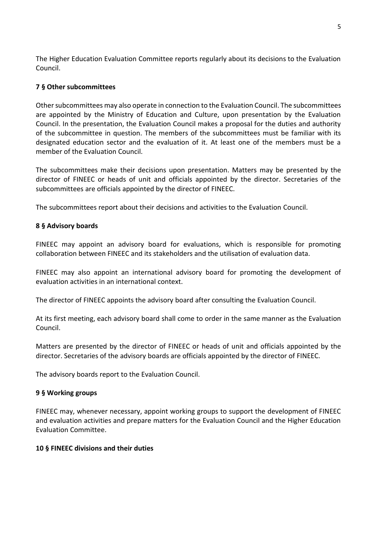The Higher Education Evaluation Committee reports regularly about its decisions to the Evaluation Council.

### **7 § Other subcommittees**

Other subcommittees may also operate in connection to the Evaluation Council. The subcommittees are appointed by the Ministry of Education and Culture, upon presentation by the Evaluation Council. In the presentation, the Evaluation Council makes a proposal for the duties and authority of the subcommittee in question. The members of the subcommittees must be familiar with its designated education sector and the evaluation of it. At least one of the members must be a member of the Evaluation Council.

The subcommittees make their decisions upon presentation. Matters may be presented by the director of FINEEC or heads of unit and officials appointed by the director. Secretaries of the subcommittees are officials appointed by the director of FINEEC.

The subcommittees report about their decisions and activities to the Evaluation Council.

### **8 § Advisory boards**

FINEEC may appoint an advisory board for evaluations, which is responsible for promoting collaboration between FINEEC and its stakeholders and the utilisation of evaluation data.

FINEEC may also appoint an international advisory board for promoting the development of evaluation activities in an international context.

The director of FINEEC appoints the advisory board after consulting the Evaluation Council.

At its first meeting, each advisory board shall come to order in the same manner as the Evaluation Council.

Matters are presented by the director of FINEEC or heads of unit and officials appointed by the director. Secretaries of the advisory boards are officials appointed by the director of FINEEC.

The advisory boards report to the Evaluation Council.

### **9 § Working groups**

FINEEC may, whenever necessary, appoint working groups to support the development of FINEEC and evaluation activities and prepare matters for the Evaluation Council and the Higher Education Evaluation Committee.

### **10 § FINEEC divisions and their duties**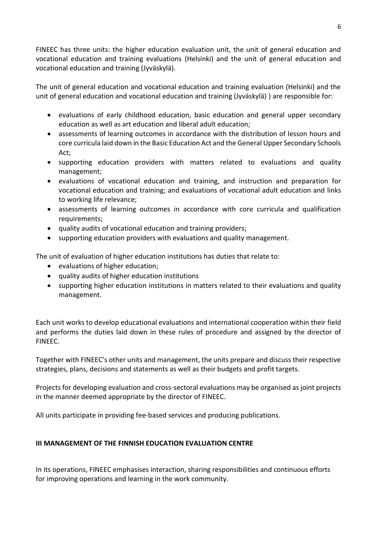FINEEC has three units: the higher education evaluation unit, the unit of general education and vocational education and training evaluations (Helsinki) and the unit of general education and vocational education and training (Jyväskylä).

The unit of general education and vocational education and training evaluation (Helsinki) and the unit of general education and vocational education and training (Jyväskylä) ) are responsible for:

- evaluations of early childhood education, basic education and general upper secondary education as well as art education and liberal adult education;
- assessments of learning outcomes in accordance with the distribution of lesson hours and core curricula laid down in the Basic Education Act and the General Upper Secondary Schools Act;
- supporting education providers with matters related to evaluations and quality management;
- evaluations of vocational education and training, and instruction and preparation for vocational education and training; and evaluations of vocational adult education and links to working life relevance;
- assessments of learning outcomes in accordance with core curricula and qualification requirements;
- quality audits of vocational education and training providers;
- supporting education providers with evaluations and quality management.

The unit of evaluation of higher education institutions has duties that relate to:

- evaluations of higher education;
- quality audits of higher education institutions
- supporting higher education institutions in matters related to their evaluations and quality management.

Each unit works to develop educational evaluations and international cooperation within their field and performs the duties laid down in these rules of procedure and assigned by the director of FINEEC.

Together with FINEEC's other units and management, the units prepare and discuss their respective strategies, plans, decisions and statements as well as their budgets and profit targets.

Projects for developing evaluation and cross-sectoral evaluations may be organised as joint projects in the manner deemed appropriate by the director of FINEEC.

All units participate in providing fee-based services and producing publications.

# **III MANAGEMENT OF THE FINNISH EDUCATION EVALUATION CENTRE**

In its operations, FINEEC emphasises interaction, sharing responsibilities and continuous efforts for improving operations and learning in the work community.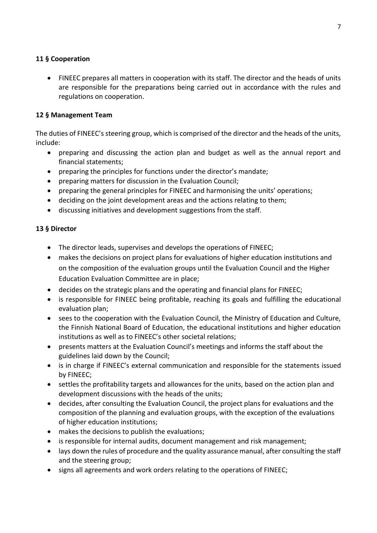# **11 § Cooperation**

 FINEEC prepares all matters in cooperation with its staff. The director and the heads of units are responsible for the preparations being carried out in accordance with the rules and regulations on cooperation.

### **12 § Management Team**

The duties of FINEEC's steering group, which is comprised of the director and the heads of the units, include:

- preparing and discussing the action plan and budget as well as the annual report and financial statements;
- preparing the principles for functions under the director's mandate;
- preparing matters for discussion in the Evaluation Council;
- preparing the general principles for FINEEC and harmonising the units' operations;
- deciding on the joint development areas and the actions relating to them;
- discussing initiatives and development suggestions from the staff.

### **13 § Director**

- The director leads, supervises and develops the operations of FINEEC;
- makes the decisions on project plans for evaluations of higher education institutions and on the composition of the evaluation groups until the Evaluation Council and the Higher Education Evaluation Committee are in place;
- decides on the strategic plans and the operating and financial plans for FINEEC;
- is responsible for FINEEC being profitable, reaching its goals and fulfilling the educational evaluation plan;
- sees to the cooperation with the Evaluation Council, the Ministry of Education and Culture, the Finnish National Board of Education, the educational institutions and higher education institutions as well as to FINEEC's other societal relations;
- presents matters at the Evaluation Council's meetings and informs the staff about the guidelines laid down by the Council;
- is in charge if FINEEC's external communication and responsible for the statements issued by FINEEC;
- settles the profitability targets and allowances for the units, based on the action plan and development discussions with the heads of the units;
- decides, after consulting the Evaluation Council, the project plans for evaluations and the composition of the planning and evaluation groups, with the exception of the evaluations of higher education institutions;
- makes the decisions to publish the evaluations;
- is responsible for internal audits, document management and risk management;
- lays down the rules of procedure and the quality assurance manual, after consulting the staff and the steering group;
- signs all agreements and work orders relating to the operations of FINEEC;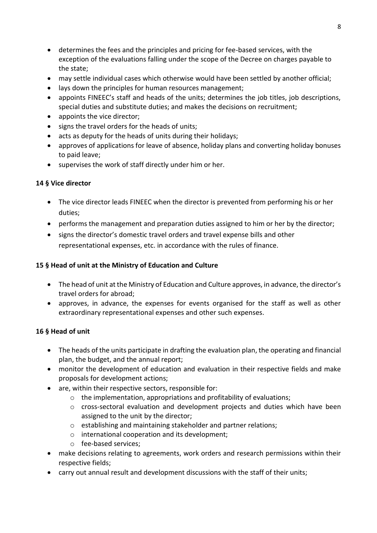- determines the fees and the principles and pricing for fee-based services, with the exception of the evaluations falling under the scope of the Decree on charges payable to the state;
- may settle individual cases which otherwise would have been settled by another official;
- lays down the principles for human resources management;
- appoints FINEEC's staff and heads of the units; determines the job titles, job descriptions, special duties and substitute duties; and makes the decisions on recruitment;
- appoints the vice director;
- signs the travel orders for the heads of units;
- acts as deputy for the heads of units during their holidays;
- approves of applications for leave of absence, holiday plans and converting holiday bonuses to paid leave;
- supervises the work of staff directly under him or her.

# **14 § Vice director**

- The vice director leads FINEEC when the director is prevented from performing his or her duties;
- performs the management and preparation duties assigned to him or her by the director;
- signs the director's domestic travel orders and travel expense bills and other representational expenses, etc. in accordance with the rules of finance.

# **15 § Head of unit at the Ministry of Education and Culture**

- The head of unit at the Ministry of Education and Culture approves, in advance, the director's travel orders for abroad;
- approves, in advance, the expenses for events organised for the staff as well as other extraordinary representational expenses and other such expenses.

# **16 § Head of unit**

- The heads of the units participate in drafting the evaluation plan, the operating and financial plan, the budget, and the annual report;
- monitor the development of education and evaluation in their respective fields and make proposals for development actions;
- are, within their respective sectors, responsible for:
	- $\circ$  the implementation, appropriations and profitability of evaluations;
	- $\circ$  cross-sectoral evaluation and development projects and duties which have been assigned to the unit by the director;
	- o establishing and maintaining stakeholder and partner relations;
	- o international cooperation and its development;
	- o fee-based services;
- make decisions relating to agreements, work orders and research permissions within their respective fields;
- carry out annual result and development discussions with the staff of their units;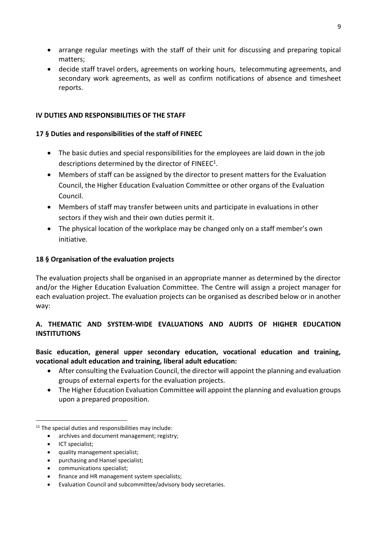- arrange regular meetings with the staff of their unit for discussing and preparing topical matters;
- decide staff travel orders, agreements on working hours, telecommuting agreements, and secondary work agreements, as well as confirm notifications of absence and timesheet reports.

# **IV DUTIES AND RESPONSIBILITIES OF THE STAFF**

# **17 § Duties and responsibilities of the staff of FINEEC**

- The basic duties and special responsibilities for the employees are laid down in the job descriptions determined by the director of  $FINEEC<sup>1</sup>$ .
- Members of staff can be assigned by the director to present matters for the Evaluation Council, the Higher Education Evaluation Committee or other organs of the Evaluation Council.
- Members of staff may transfer between units and participate in evaluations in other sectors if they wish and their own duties permit it.
- The physical location of the workplace may be changed only on a staff member's own initiative.

# **18 § Organisation of the evaluation projects**

The evaluation projects shall be organised in an appropriate manner as determined by the director and/or the Higher Education Evaluation Committee. The Centre will assign a project manager for each evaluation project. The evaluation projects can be organised as described below or in another way:

# **A. THEMATIC AND SYSTEM-WIDE EVALUATIONS AND AUDITS OF HIGHER EDUCATION INSTITUTIONS**

# **Basic education, general upper secondary education, vocational education and training, vocational adult education and training, liberal adult education:**

- After consulting the Evaluation Council, the director will appoint the planning and evaluation groups of external experts for the evaluation projects.
- The Higher Education Evaluation Committee will appoint the planning and evaluation groups upon a prepared proposition.

- archives and document management; registry;
- ICT specialist;

**.** 

- quality management specialist;
- purchasing and Hansel specialist;
- communications specialist;
- finance and HR management system specialists;
- Evaluation Council and subcommittee/advisory body secretaries.

<sup>&</sup>lt;sup>11</sup> The special duties and responsibilities may include: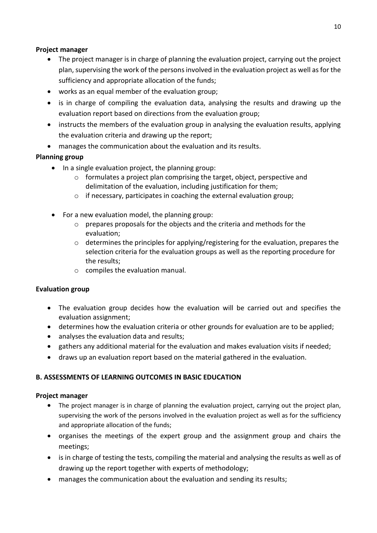# **Project manager**

- The project manager is in charge of planning the evaluation project, carrying out the project plan, supervising the work of the persons involved in the evaluation project as well as for the sufficiency and appropriate allocation of the funds;
- works as an equal member of the evaluation group;
- is in charge of compiling the evaluation data, analysing the results and drawing up the evaluation report based on directions from the evaluation group;
- instructs the members of the evaluation group in analysing the evaluation results, applying the evaluation criteria and drawing up the report;
- manages the communication about the evaluation and its results.

# **Planning group**

- In a single evaluation project, the planning group:
	- o formulates a project plan comprising the target, object, perspective and delimitation of the evaluation, including justification for them;
	- o if necessary, participates in coaching the external evaluation group;
- For a new evaluation model, the planning group:
	- o prepares proposals for the objects and the criteria and methods for the evaluation;
	- o determines the principles for applying/registering for the evaluation, prepares the selection criteria for the evaluation groups as well as the reporting procedure for the results;
	- o compiles the evaluation manual.

# **Evaluation group**

- The evaluation group decides how the evaluation will be carried out and specifies the evaluation assignment;
- determines how the evaluation criteria or other grounds for evaluation are to be applied;
- analyses the evaluation data and results;
- gathers any additional material for the evaluation and makes evaluation visits if needed;
- draws up an evaluation report based on the material gathered in the evaluation.

# **B. ASSESSMENTS OF LEARNING OUTCOMES IN BASIC EDUCATION**

# **Project manager**

- The project manager is in charge of planning the evaluation project, carrying out the project plan, supervising the work of the persons involved in the evaluation project as well as for the sufficiency and appropriate allocation of the funds;
- organises the meetings of the expert group and the assignment group and chairs the meetings;
- is in charge of testing the tests, compiling the material and analysing the results as well as of drawing up the report together with experts of methodology;
- manages the communication about the evaluation and sending its results;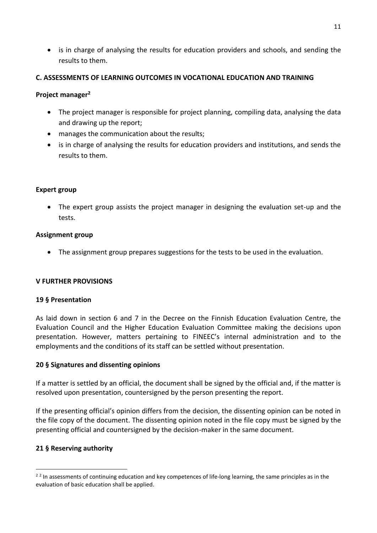is in charge of analysing the results for education providers and schools, and sending the results to them.

### **C. ASSESSMENTS OF LEARNING OUTCOMES IN VOCATIONAL EDUCATION AND TRAINING**

### **Project manager<sup>2</sup>**

- The project manager is responsible for project planning, compiling data, analysing the data and drawing up the report;
- manages the communication about the results;
- is in charge of analysing the results for education providers and institutions, and sends the results to them.

### **Expert group**

 The expert group assists the project manager in designing the evaluation set-up and the tests.

### **Assignment group**

The assignment group prepares suggestions for the tests to be used in the evaluation.

# **V FURTHER PROVISIONS**

### **19 § Presentation**

As laid down in section 6 and 7 in the Decree on the Finnish Education Evaluation Centre, the Evaluation Council and the Higher Education Evaluation Committee making the decisions upon presentation. However, matters pertaining to FINEEC's internal administration and to the employments and the conditions of its staff can be settled without presentation.

# **20 § Signatures and dissenting opinions**

If a matter is settled by an official, the document shall be signed by the official and, if the matter is resolved upon presentation, countersigned by the person presenting the report.

If the presenting official's opinion differs from the decision, the dissenting opinion can be noted in the file copy of the document. The dissenting opinion noted in the file copy must be signed by the presenting official and countersigned by the decision-maker in the same document.

# **21 § Reserving authority**

1

<sup>&</sup>lt;sup>22</sup> In assessments of continuing education and key competences of life-long learning, the same principles as in the evaluation of basic education shall be applied.